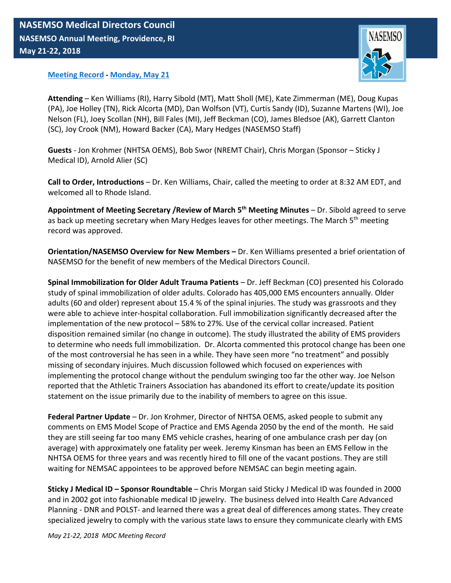

**Meeting Record - Monday, May 21**

**Attending** – Ken Williams (RI), Harry Sibold (MT), Matt Sholl (ME), Kate Zimmerman (ME), Doug Kupas (PA), Joe Holley (TN), Rick Alcorta (MD), Dan Wolfson (VT), Curtis Sandy (ID), Suzanne Martens (WI), Joe Nelson (FL), Joey Scollan (NH), Bill Fales (MI), Jeff Beckman (CO), James Bledsoe (AK), Garrett Clanton (SC), Joy Crook (NM), Howard Backer (CA), Mary Hedges (NASEMSO Staff)

**Guests** - Jon Krohmer (NHTSA OEMS), Bob Swor (NREMT Chair), Chris Morgan (Sponsor – Sticky J Medical ID), Arnold Alier (SC)

**Call to Order, Introductions** – Dr. Ken Williams, Chair, called the meeting to order at 8:32 AM EDT, and welcomed all to Rhode Island.

Appointment of Meeting Secretary / Review of March 5<sup>th</sup> Meeting Minutes - Dr. Sibold agreed to serve as back up meeting secretary when Mary Hedges leaves for other meetings. The March 5<sup>th</sup> meeting record was approved.

**Orientation/NASEMSO Overview for New Members –** Dr. Ken Williams presented a brief orientation of NASEMSO for the benefit of new members of the Medical Directors Council.

**Spinal Immobilization for Older Adult Trauma Patients** – Dr. Jeff Beckman (CO) presented his Colorado study of spinal immobilization of older adults. Colorado has 405,000 EMS encounters annually. Older adults (60 and older) represent about 15.4 % of the spinal injuries. The study was grassroots and they were able to achieve inter-hospital collaboration. Full immobilization significantly decreased after the implementation of the new protocol – 58% to 27%. Use of the cervical collar increased. Patient disposition remained similar (no change in outcome). The study illustrated the ability of EMS providers to determine who needs full immobilization. Dr. Alcorta commented this protocol change has been one of the most controversial he has seen in a while. They have seen more "no treatment" and possibly missing of secondary injuires. Much discussion followed which focused on experiences with implementing the protocol change without the pendulum swinging too far the other way. Joe Nelson reported that the Athletic Trainers Association has abandoned its effort to create/update its position statement on the issue primarily due to the inability of members to agree on this issue.

**Federal Partner Update** – Dr. Jon Krohmer, Director of NHTSA OEMS, asked people to submit any comments on EMS Model Scope of Practice and EMS Agenda 2050 by the end of the month. He said they are still seeing far too many EMS vehicle crashes, hearing of one ambulance crash per day (on average) with approximately one fatality per week. Jeremy Kinsman has been an EMS Fellow in the NHTSA OEMS for three years and was recently hired to fill one of the vacant postions. They are still waiting for NEMSAC appointees to be approved before NEMSAC can begin meeting again.

**Sticky J Medical ID – Sponsor Roundtable** – Chris Morgan said Sticky J Medical ID was founded in 2000 and in 2002 got into fashionable medical ID jewelry.The business delved into Health Care Advanced Planning - DNR and POLST- and learned there was a great deal of differences among states. They create specialized jewelry to comply with the various state laws to ensure they communicate clearly with EMS

*May 21-22, 2018 MDC Meeting Record*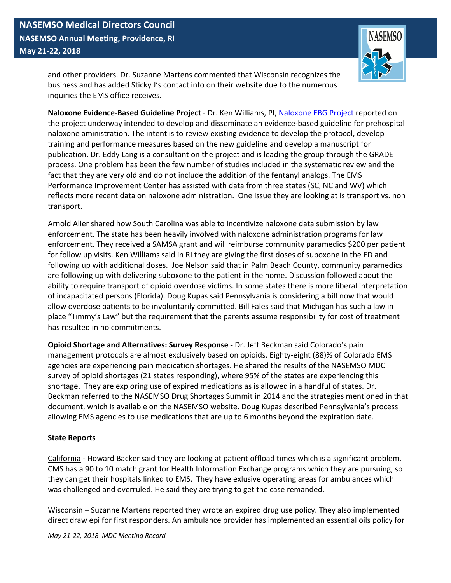

and other providers. Dr. Suzanne Martens commented that Wisconsin recognizes the business and has added Sticky J's contact info on their website due to the numerous inquiries the EMS office receives.

**Naloxone Evidence-Based Guideline Project** - Dr. Ken Williams, PI, Naloxone EBG Project reported on the project underway intended to develop and disseminate an evidence-based guideline for prehospital naloxone aministration. The intent is to review existing evidence to develop the protocol, develop training and performance measures based on the new guideline and develop a manuscript for publication. Dr. Eddy Lang is a consultant on the project and is leading the group through the GRADE process. One problem has been the few number of studies included in the systematic review and the fact that they are very old and do not include the addition of the fentanyl analogs. The EMS Performance Improvement Center has assisted with data from three states (SC, NC and WV) which reflects more recent data on naloxone administration. One issue they are looking at is transport vs. non transport.

Arnold Alier shared how South Carolina was able to incentivize naloxone data submission by law enforcement. The state has been heavily involved with naloxone administration programs for law enforcement. They received a SAMSA grant and will reimburse community paramedics \$200 per patient for follow up visits. Ken Williams said in RI they are giving the first doses of suboxone in the ED and following up with additional doses. Joe Nelson said that in Palm Beach County, community paramedics are following up with delivering suboxone to the patient in the home. Discussion followed about the ability to require transport of opioid overdose victims. In some states there is more liberal interpretation of incapacitated persons (Florida). Doug Kupas said Pennsylvania is considering a bill now that would allow overdose patients to be involuntarily committed. Bill Fales said that Michigan has such a law in place "Timmy's Law" but the requirement that the parents assume responsibility for cost of treatment has resulted in no commitments.

**Opioid Shortage and Alternatives: Survey Response -** Dr. Jeff Beckman said Colorado's pain management protocols are almost exclusively based on opioids. Eighty-eight (88)% of Colorado EMS agencies are experiencing pain medication shortages. He shared the results of the NASEMSO MDC survey of opioid shortages (21 states responding), where 95% of the states are experiencing this shortage. They are exploring use of expired medications as is allowed in a handful of states. Dr. Beckman referred to the NASEMSO Drug Shortages Summit in 2014 and the strategies mentioned in that document, which is available on the NASEMSO website. Doug Kupas described Pennsylvania's process allowing EMS agencies to use medications that are up to 6 months beyond the expiration date.

## **State Reports**

California - Howard Backer said they are looking at patient offload times which is a significant problem. CMS has a 90 to 10 match grant for Health Information Exchange programs which they are pursuing, so they can get their hospitals linked to EMS. They have exlusive operating areas for ambulances which was challenged and overruled. He said they are trying to get the case remanded.

Wisconsin – Suzanne Martens reported they wrote an expired drug use policy. They also implemented direct draw epi for first responders. An ambulance provider has implemented an essential oils policy for

*May 21-22, 2018 MDC Meeting Record*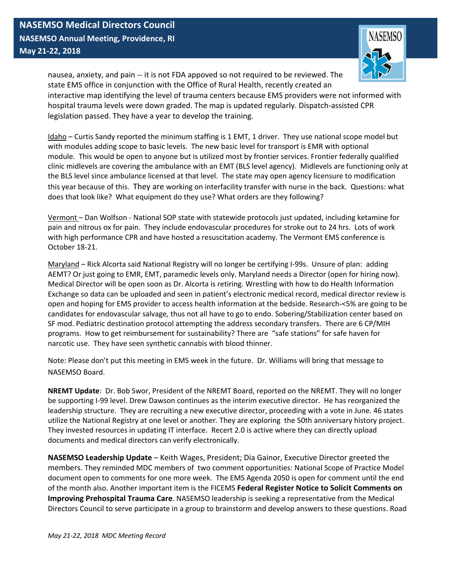

nausea, anxiety, and pain -- it is not FDA appoved so not required to be reviewed. The state EMS office in conjunction with the Office of Rural Health, recently created an interactive map identifying the level of trauma centers because EMS providers were not informed with hospital trauma levels were down graded. The map is updated regularly. Dispatch-assisted CPR legislation passed. They have a year to develop the training.

Idaho – Curtis Sandy reported the minimum staffing is 1 EMT, 1 driver. They use national scope model but with modules adding scope to basic levels. The new basic level for transport is EMR with optional module. This would be open to anyone but is utilized most by frontier services. Frontier federally qualified clinic midlevels are covering the ambulance with an EMT (BLS level agency). Midlevels are functioning only at the BLS level since ambulance licensed at that level. The state may open agency licensure to modification this year because of this. They are working on interfacility transfer with nurse in the back. Questions: what does that look like? What equipment do they use? What orders are they following?

Vermont – Dan Wolfson - National SOP state with statewide protocols just updated, including ketamine for pain and nitrous ox for pain. They include endovascular procedures for stroke out to 24 hrs. Lots of work with high performance CPR and have hosted a resuscitation academy. The Vermont EMS conference is October 18-21.

Maryland – Rick Alcorta said National Registry will no longer be certifying I-99s. Unsure of plan: adding AEMT? Or just going to EMR, EMT, paramedic levels only. Maryland needs a Director (open for hiring now). Medical Director will be open soon as Dr. Alcorta is retiring. Wrestling with how to do Health Information Exchange so data can be uploaded and seen in patient's electronic medical record, medical director review is open and hoping for EMS provider to access health information at the bedside. Research-<5% are going to be candidates for endovascular salvage, thus not all have to go to endo. Sobering/Stabilization center based on SF mod. Pediatric destination protocol attempting the address secondary transfers. There are 6 CP/MIH programs. How to get reimbursement for sustainability? There are "safe stations" for safe haven for narcotic use. They have seen synthetic cannabis with blood thinner.

Note: Please don't put this meeting in EMS week in the future. Dr. Williams will bring that message to NASEMSO Board.

**NREMT Update**: Dr. Bob Swor, President of the NREMT Board, reported on the NREMT. They will no longer be supporting I-99 level. Drew Dawson continues as the interim executive director. He has reorganized the leadership structure. They are recruiting a new executive director, proceeding with a vote in June. 46 states utilize the National Registry at one level or another. They are exploring the 50th anniversary history project. They invested resources in updating IT interface. Recert 2.0 is active where they can directly upload documents and medical directors can verify electronically.

**NASEMSO Leadership Update** – Keith Wages, President; Dia Gainor, Executive Director greeted the members. They reminded MDC members of two comment opportunities: National Scope of Practice Model document open to comments for one more week. The EMS Agenda 2050 is open for comment until the end of the month also. Another important item is the FICEMS **Federal Register Notice to Solicit Comments on Improving Prehospital Trauma Care**. NASEMSO leadership is seeking a representative from the Medical Directors Council to serve participate in a group to brainstorm and develop answers to these questions. Road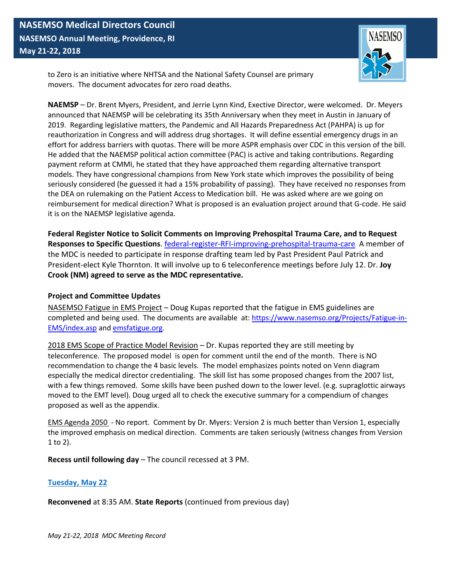

to Zero is an initiative where NHTSA and the National Safety Counsel are primary movers. The document advocates for zero road deaths.

**NAEMSP** – Dr. Brent Myers, President, and Jerrie Lynn Kind, Exective Director, were welcomed. Dr. Meyers announced that NAEMSP will be celebrating its 35th Anniversary when they meet in Austin in January of 2019. Regarding legislative matters, the Pandemic and All Hazards Preparedness Act (PAHPA) is up for reauthorization in Congress and will address drug shortages. It will define essential emergency drugs in an effort for address barriers with quotas. There will be more ASPR emphasis over CDC in this version of the bill. He added that the NAEMSP political action committee (PAC) is active and taking contributions. Regarding payment reform at CMMI, he stated that they have approached them regarding alternative transport models. They have congressional champions from New York state which improves the possibility of being seriously considered (he guessed it had a 15% probability of passing). They have received no responses from the DEA on rulemaking on the Patient Access to Medication bill. He was asked where are we going on reimbursement for medical direction? What is proposed is an evaluation project around that G-code. He said it is on the NAEMSP legislative agenda.

**Federal Register Notice to Solicit Comments on Improving Prehospital Trauma Care, and to Request Responses to Specific Questions**. federal-register-RFI-improving-prehospital-trauma-careA member of the MDC is needed to participate in response drafting team led by Past President Paul Patrick and President-elect Kyle Thornton. It will involve up to 6 teleconference meetings before July 12. Dr. **Joy Crook (NM) agreed to serve as the MDC representative.**

#### **Project and Committee Updates**

NASEMSO Fatigue in EMS Project – Doug Kupas reported that the fatigue in EMS guidelines are completed and being used. The documents are available at: https://www.nasemso.org/Projects/Fatigue-in-EMS/index.asp and emsfatigue.org.

2018 EMS Scope of Practice Model Revision – Dr. Kupas reported they are still meeting by teleconference. The proposed model is open for comment until the end of the month. There is NO recommendation to change the 4 basic levels. The model emphasizes points noted on Venn diagram especially the medical director credentialing. The skill list has some proposed changes from the 2007 list, with a few things removed. Some skills have been pushed down to the lower level. (e.g. supraglottic airways moved to the EMT level). Doug urged all to check the executive summary for a compendium of changes proposed as well as the appendix.

EMS Agenda 2050 - No report. Comment by Dr. Myers: Version 2 is much better than Version 1, especially the improved emphasis on medical direction. Comments are taken seriously (witness changes from Version 1 to 2).

**Recess until following day** – The council recessed at 3 PM.

#### **Tuesday, May 22**

**Reconvened** at 8:35 AM. **State Reports** (continued from previous day)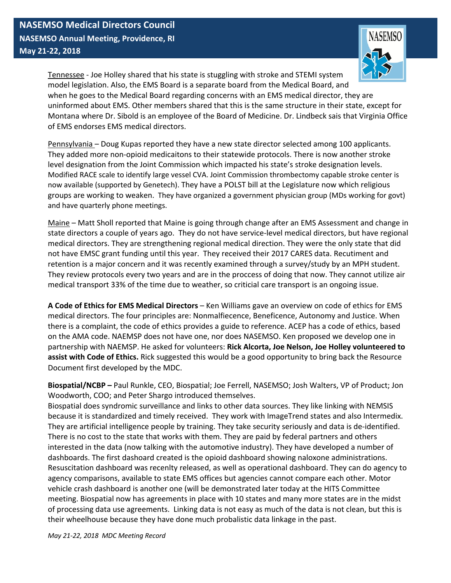

Tennessee - Joe Holley shared that his state is stuggling with stroke and STEMI system model legislation. Also, the EMS Board is a separate board from the Medical Board, and when he goes to the Medical Board regarding concerns with an EMS medical director, they are uninformed about EMS. Other members shared that this is the same structure in their state, except for Montana where Dr. Sibold is an employee of the Board of Medicine. Dr. Lindbeck sais that Virginia Office of EMS endorses EMS medical directors.

Pennsylvania – Doug Kupas reported they have a new state director selected among 100 applicants. They added more non-opioid medicaitons to their statewide protocols. There is now another stroke level designation from the Joint Commission which impacted his state's stroke designation levels. Modified RACE scale to identify large vessel CVA. Joint Commission thrombectomy capable stroke center is now available (supported by Genetech). They have a POLST bill at the Legislature now which religious groups are working to weaken. They have organized a government physician group (MDs working for govt) and have quarterly phone meetings.

Maine – Matt Sholl reported that Maine is going through change after an EMS Assessment and change in state directors a couple of years ago. They do not have service-level medical directors, but have regional medical directors. They are strengthening regional medical direction. They were the only state that did not have EMSC grant funding until this year. They received their 2017 CARES data. Recutiment and retention is a major concern and it was recently examined through a survey/study by an MPH student. They review protocols every two years and are in the proccess of doing that now. They cannot utilize air medical transport 33% of the time due to weather, so criticial care transport is an ongoing issue.

**A Code of Ethics for EMS Medical Directors** – Ken Williams gave an overview on code of ethics for EMS medical directors. The four principles are: Nonmalfiecence, Beneficence, Autonomy and Justice. When there is a complaint, the code of ethics provides a guide to reference. ACEP has a code of ethics, based on the AMA code. NAEMSP does not have one, nor does NASEMSO. Ken proposed we develop one in partnership with NAEMSP. He asked for volunteers: **Rick Alcorta, Joe Nelson, Joe Holley volunteered to assist with Code of Ethics.** Rick suggested this would be a good opportunity to bring back the Resource Document first developed by the MDC.

**Biospatial/NCBP –** Paul Runkle, CEO, Biospatial; Joe Ferrell, NASEMSO; Josh Walters, VP of Product; Jon Woodworth, COO; and Peter Shargo introduced themselves.

Biospatial does syndromic surveillance and links to other data sources. They like linking with NEMSIS because it is standardized and timely received. They work with ImageTrend states and also Intermedix. They are artificial intelligence people by training. They take security seriously and data is de-identified. There is no cost to the state that works with them. They are paid by federal partners and others interested in the data (now talking with the automotive industry). They have developed a number of dashboards. The first dashoard created is the opioid dashboard showing naloxone administrations. Resuscitation dashboard was recenlty released, as well as operational dashboard. They can do agency to agency comparisons, available to state EMS offices but agencies cannot compare each other. Motor vehicle crash dashboard is another one (will be demonstrated later today at the HITS Committee meeting. Biospatial now has agreements in place with 10 states and many more states are in the midst of processing data use agreements. Linking data is not easy as much of the data is not clean, but this is their wheelhouse because they have done much probalistic data linkage in the past.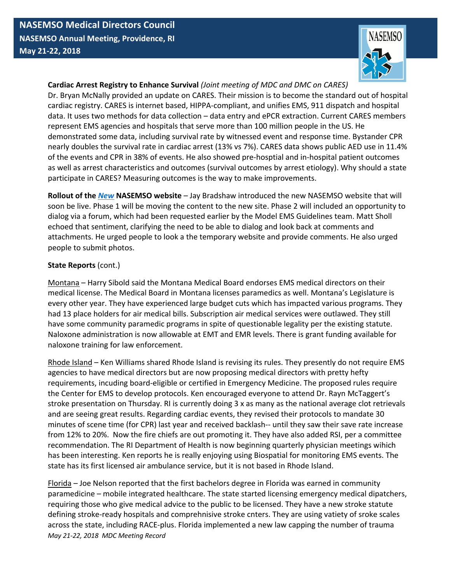

# **Cardiac Arrest Registry to Enhance Survival** *(Joint meeting of MDC and DMC on CARES)*

Dr. Bryan McNally provided an update on CARES. Their mission is to become the standard out of hospital cardiac registry. CARES is internet based, HIPPA-compliant, and unifies EMS, 911 dispatch and hospital data. It uses two methods for data collection – data entry and ePCR extraction. Current CARES members represent EMS agencies and hospitals that serve more than 100 million people in the US. He demonstrated some data, including survival rate by witnessed event and response time. Bystander CPR nearly doubles the survival rate in cardiac arrest (13% vs 7%). CARES data shows public AED use in 11.4% of the events and CPR in 38% of events. He also showed pre-hosptial and in-hospital patient outcomes as well as arrest characteristics and outcomes (survival outcomes by arrest etiology). Why should a state participate in CARES? Measuring outcomes is the way to make improvements.

**Rollout of the** *New* **NASEMSO website** – Jay Bradshaw introduced the new NASEMSO website that will soon be live. Phase 1 will be moving the content to the new site. Phase 2 will included an opportunity to dialog via a forum, which had been requested earlier by the Model EMS Guidelines team. Matt Sholl echoed that sentiment, clarifying the need to be able to dialog and look back at comments and attachments. He urged people to look a the temporary website and provide comments. He also urged people to submit photos.

### **State Reports** (cont.)

Montana – Harry Sibold said the Montana Medical Board endorses EMS medical directors on their medical license. The Medical Board in Montana licenses paramedics as well. Montana's Legislature is every other year. They have experienced large budget cuts which has impacted various programs. They had 13 place holders for air medical bills. Subscription air medical services were outlawed. They still have some community paramedic programs in spite of questionable legality per the existing statute. Naloxone administration is now allowable at EMT and EMR levels. There is grant funding available for naloxone training for law enforcement.

Rhode Island – Ken Williams shared Rhode Island is revising its rules. They presently do not require EMS agencies to have medical directors but are now proposing medical directors with pretty hefty requirements, incuding board-eligible or certified in Emergency Medicine. The proposed rules require the Center for EMS to develop protocols. Ken encouraged everyone to attend Dr. Rayn McTaggert's stroke presentation on Thursday. RI is currently doing 3 x as many as the national average clot retrievals and are seeing great results. Regarding cardiac events, they revised their protocols to mandate 30 minutes of scene time (for CPR) last year and received backlash-- until they saw their save rate increase from 12% to 20%. Now the fire chiefs are out promoting it. They have also added RSI, per a committee recommendation. The RI Department of Health is now beginning quarterly physician meetings wihich has been interesting. Ken reports he is really enjoying using Biospatial for monitoring EMS events. The state has its first licensed air ambulance service, but it is not based in Rhode Island.

*May 21-22, 2018 MDC Meeting Record* Florida – Joe Nelson reported that the first bachelors degree in Florida was earned in community paramedicine – mobile integrated healthcare. The state started licensing emergency medical dipatchers, requiring those who give medical advice to the public to be licensed. They have a new stroke statute defining stroke-ready hospitals and comprehnisive stroke cnters. They are using vatiety of sroke scales across the state, including RACE-plus. Florida implemented a new law capping the number of trauma